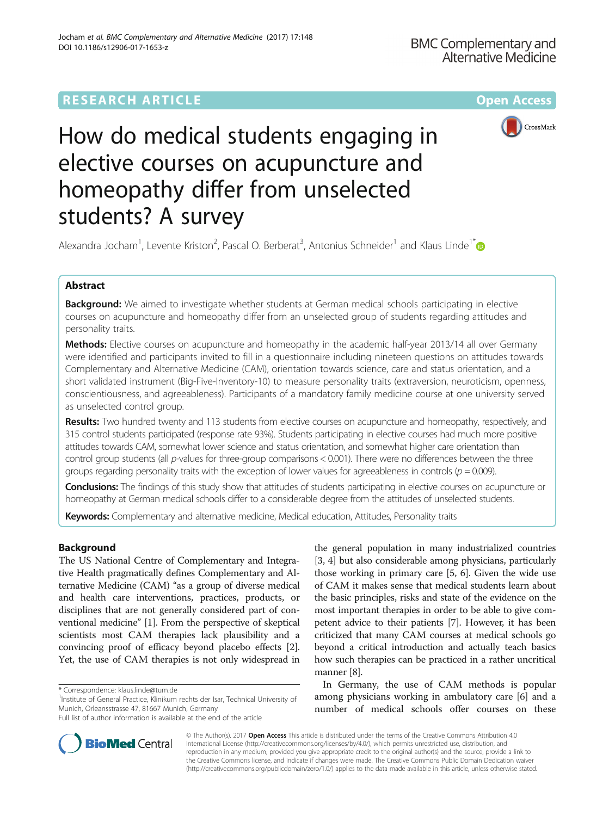# **RESEARCH ARTICLE Example 2014 12:30 The Community Community Community Community Community Community Community**



# How do medical students engaging in elective courses on acupuncture and homeopathy differ from unselected students? A survey

Alexandra Jocham<sup>1</sup>, Levente Kriston<sup>2</sup>, Pascal O. Berberat<sup>3</sup>, Antonius Schneider<sup>1</sup> and Klaus Linde<sup>1[\\*](http://orcid.org/0000-0002-2902-970X)</sup>

# Abstract

**Background:** We aimed to investigate whether students at German medical schools participating in elective courses on acupuncture and homeopathy differ from an unselected group of students regarding attitudes and personality traits.

**Methods:** Elective courses on acupuncture and homeopathy in the academic half-year 2013/14 all over Germany were identified and participants invited to fill in a questionnaire including nineteen questions on attitudes towards Complementary and Alternative Medicine (CAM), orientation towards science, care and status orientation, and a short validated instrument (Big-Five-Inventory-10) to measure personality traits (extraversion, neuroticism, openness, conscientiousness, and agreeableness). Participants of a mandatory family medicine course at one university served as unselected control group.

Results: Two hundred twenty and 113 students from elective courses on acupuncture and homeopathy, respectively, and 315 control students participated (response rate 93%). Students participating in elective courses had much more positive attitudes towards CAM, somewhat lower science and status orientation, and somewhat higher care orientation than control group students (all p-values for three-group comparisons < 0.001). There were no differences between the three groups regarding personality traits with the exception of lower values for agreeableness in controls ( $p = 0.009$ ).

**Conclusions:** The findings of this study show that attitudes of students participating in elective courses on acupuncture or homeopathy at German medical schools differ to a considerable degree from the attitudes of unselected students.

Keywords: Complementary and alternative medicine, Medical education, Attitudes, Personality traits

# Background

The US National Centre of Complementary and Integrative Health pragmatically defines Complementary and Alternative Medicine (CAM) "as a group of diverse medical and health care interventions, practices, products, or disciplines that are not generally considered part of conventional medicine" [[1\]](#page-7-0). From the perspective of skeptical scientists most CAM therapies lack plausibility and a convincing proof of efficacy beyond placebo effects [[2](#page-7-0)]. Yet, the use of CAM therapies is not only widespread in

the general population in many industrialized countries [[3, 4\]](#page-7-0) but also considerable among physicians, particularly those working in primary care [[5](#page-7-0), [6\]](#page-7-0). Given the wide use of CAM it makes sense that medical students learn about the basic principles, risks and state of the evidence on the most important therapies in order to be able to give competent advice to their patients [[7\]](#page-7-0). However, it has been criticized that many CAM courses at medical schools go beyond a critical introduction and actually teach basics how such therapies can be practiced in a rather uncritical manner [\[8](#page-7-0)].

In Germany, the use of CAM methods is popular among physicians working in ambulatory care [[6\]](#page-7-0) and a number of medical schools offer courses on these



© The Author(s). 2017 Open Access This article is distributed under the terms of the Creative Commons Attribution 4.0 International License [\(http://creativecommons.org/licenses/by/4.0/](http://creativecommons.org/licenses/by/4.0/)), which permits unrestricted use, distribution, and reproduction in any medium, provided you give appropriate credit to the original author(s) and the source, provide a link to the Creative Commons license, and indicate if changes were made. The Creative Commons Public Domain Dedication waiver [\(http://creativecommons.org/publicdomain/zero/1.0/](http://creativecommons.org/publicdomain/zero/1.0/)) applies to the data made available in this article, unless otherwise stated.

<sup>\*</sup> Correspondence: [klaus.linde@tum.de](mailto:klaus.linde@tum.de) <sup>1</sup>

<sup>&</sup>lt;sup>1</sup>Institute of General Practice, Klinikum rechts der Isar, Technical University of Munich, Orleansstrasse 47, 81667 Munich, Germany

Full list of author information is available at the end of the article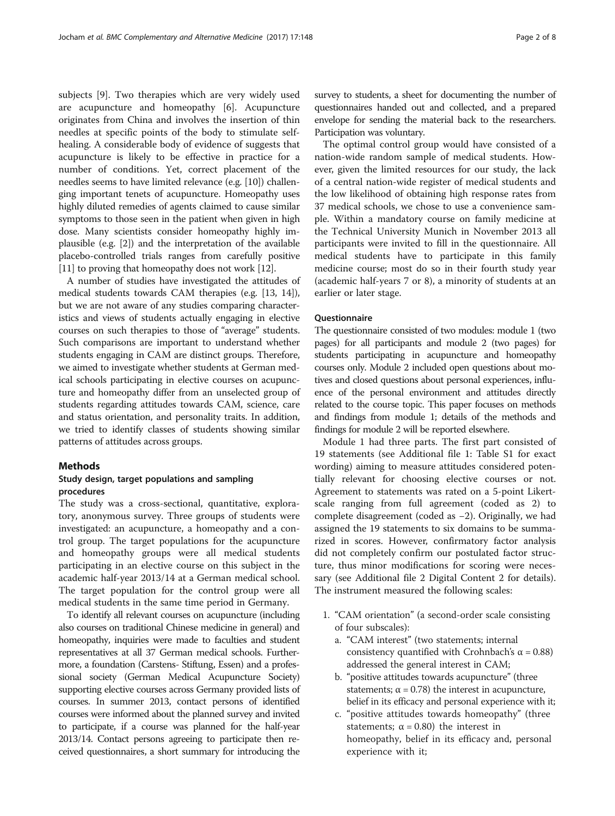subjects [[9\]](#page-7-0). Two therapies which are very widely used are acupuncture and homeopathy [\[6](#page-7-0)]. Acupuncture originates from China and involves the insertion of thin needles at specific points of the body to stimulate selfhealing. A considerable body of evidence of suggests that acupuncture is likely to be effective in practice for a number of conditions. Yet, correct placement of the needles seems to have limited relevance (e.g. [\[10\]](#page-7-0)) challenging important tenets of acupuncture. Homeopathy uses highly diluted remedies of agents claimed to cause similar symptoms to those seen in the patient when given in high dose. Many scientists consider homeopathy highly implausible (e.g. [[2\]](#page-7-0)) and the interpretation of the available placebo-controlled trials ranges from carefully positive [[11](#page-7-0)] to proving that homeopathy does not work [[12](#page-7-0)].

A number of studies have investigated the attitudes of medical students towards CAM therapies (e.g. [[13](#page-7-0), [14](#page-7-0)]), but we are not aware of any studies comparing characteristics and views of students actually engaging in elective courses on such therapies to those of "average" students. Such comparisons are important to understand whether students engaging in CAM are distinct groups. Therefore, we aimed to investigate whether students at German medical schools participating in elective courses on acupuncture and homeopathy differ from an unselected group of students regarding attitudes towards CAM, science, care and status orientation, and personality traits. In addition, we tried to identify classes of students showing similar patterns of attitudes across groups.

# Methods

## Study design, target populations and sampling procedures

The study was a cross-sectional, quantitative, exploratory, anonymous survey. Three groups of students were investigated: an acupuncture, a homeopathy and a control group. The target populations for the acupuncture and homeopathy groups were all medical students participating in an elective course on this subject in the academic half-year 2013/14 at a German medical school. The target population for the control group were all medical students in the same time period in Germany.

To identify all relevant courses on acupuncture (including also courses on traditional Chinese medicine in general) and homeopathy, inquiries were made to faculties and student representatives at all 37 German medical schools. Furthermore, a foundation (Carstens- Stiftung, Essen) and a professional society (German Medical Acupuncture Society) supporting elective courses across Germany provided lists of courses. In summer 2013, contact persons of identified courses were informed about the planned survey and invited to participate, if a course was planned for the half-year 2013/14. Contact persons agreeing to participate then received questionnaires, a short summary for introducing the

survey to students, a sheet for documenting the number of questionnaires handed out and collected, and a prepared envelope for sending the material back to the researchers. Participation was voluntary.

The optimal control group would have consisted of a nation-wide random sample of medical students. However, given the limited resources for our study, the lack of a central nation-wide register of medical students and the low likelihood of obtaining high response rates from 37 medical schools, we chose to use a convenience sample. Within a mandatory course on family medicine at the Technical University Munich in November 2013 all participants were invited to fill in the questionnaire. All medical students have to participate in this family medicine course; most do so in their fourth study year (academic half-years 7 or 8), a minority of students at an earlier or later stage.

## **Ouestionnaire**

The questionnaire consisted of two modules: module 1 (two pages) for all participants and module 2 (two pages) for students participating in acupuncture and homeopathy courses only. Module 2 included open questions about motives and closed questions about personal experiences, influence of the personal environment and attitudes directly related to the course topic. This paper focuses on methods and findings from module 1; details of the methods and findings for module 2 will be reported elsewhere.

Module 1 had three parts. The first part consisted of 19 statements (see Additional file [1](#page-7-0): Table S1 for exact wording) aiming to measure attitudes considered potentially relevant for choosing elective courses or not. Agreement to statements was rated on a 5-point Likertscale ranging from full agreement (coded as 2) to complete disagreement (coded as −2). Originally, we had assigned the 19 statements to six domains to be summarized in scores. However, confirmatory factor analysis did not completely confirm our postulated factor structure, thus minor modifications for scoring were necessary (see Additional file [2](#page-7-0) Digital Content 2 for details). The instrument measured the following scales:

- 1. "CAM orientation" (a second-order scale consisting of four subscales):
	- a. "CAM interest" (two statements; internal consistency quantified with Crohnbach's  $\alpha$  = 0.88) addressed the general interest in CAM;
	- b. "positive attitudes towards acupuncture" (three statements;  $\alpha$  = 0.78) the interest in acupuncture, belief in its efficacy and personal experience with it;
	- c. "positive attitudes towards homeopathy" (three statements;  $\alpha = 0.80$ ) the interest in homeopathy, belief in its efficacy and, personal experience with it;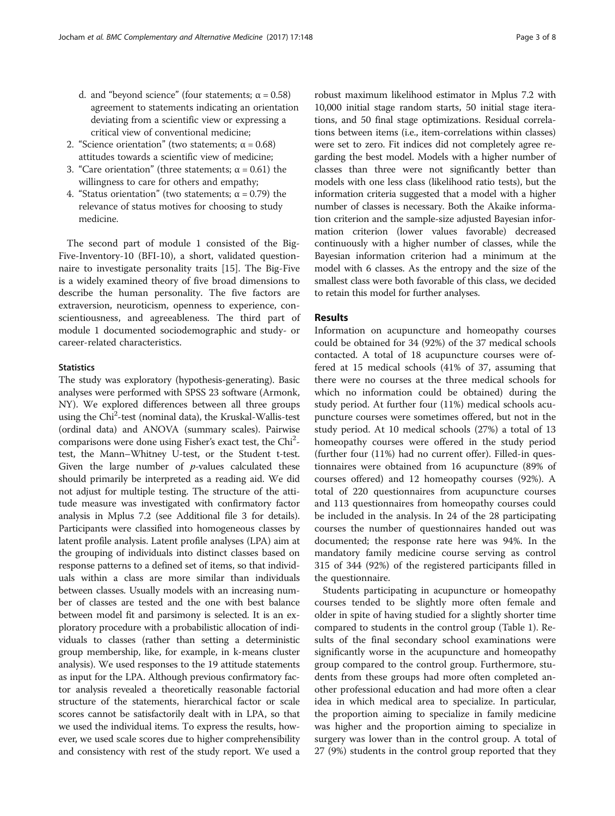- d. and "beyond science" (four statements;  $\alpha = 0.58$ ) agreement to statements indicating an orientation deviating from a scientific view or expressing a critical view of conventional medicine;
- 2. "Science orientation" (two statements:  $\alpha = 0.68$ ) attitudes towards a scientific view of medicine;
- 3. "Care orientation" (three statements; α = 0.61) the willingness to care for others and empathy;
- 4. "Status orientation" (two statements;  $\alpha$  = 0.79) the relevance of status motives for choosing to study medicine.

The second part of module 1 consisted of the Big-Five-Inventory-10 (BFI-10), a short, validated questionnaire to investigate personality traits [[15\]](#page-7-0). The Big-Five is a widely examined theory of five broad dimensions to describe the human personality. The five factors are extraversion, neuroticism, openness to experience, conscientiousness, and agreeableness. The third part of module 1 documented sociodemographic and study- or career-related characteristics.

#### **Statistics**

The study was exploratory (hypothesis-generating). Basic analyses were performed with SPSS 23 software (Armonk, NY). We explored differences between all three groups using the Chi<sup>2</sup>-test (nominal data), the Kruskal-Wallis-test (ordinal data) and ANOVA (summary scales). Pairwise comparisons were done using Fisher's exact test, the Chi<sup>2</sup>test, the Mann–Whitney U-test, or the Student t-test. Given the large number of  $p$ -values calculated these should primarily be interpreted as a reading aid. We did not adjust for multiple testing. The structure of the attitude measure was investigated with confirmatory factor analysis in Mplus 7.2 (see Additional file [3](#page-7-0) for details). Participants were classified into homogeneous classes by latent profile analysis. Latent profile analyses (LPA) aim at the grouping of individuals into distinct classes based on response patterns to a defined set of items, so that individuals within a class are more similar than individuals between classes. Usually models with an increasing number of classes are tested and the one with best balance between model fit and parsimony is selected. It is an exploratory procedure with a probabilistic allocation of individuals to classes (rather than setting a deterministic group membership, like, for example, in k-means cluster analysis). We used responses to the 19 attitude statements as input for the LPA. Although previous confirmatory factor analysis revealed a theoretically reasonable factorial structure of the statements, hierarchical factor or scale scores cannot be satisfactorily dealt with in LPA, so that we used the individual items. To express the results, however, we used scale scores due to higher comprehensibility and consistency with rest of the study report. We used a

robust maximum likelihood estimator in Mplus 7.2 with 10,000 initial stage random starts, 50 initial stage iterations, and 50 final stage optimizations. Residual correlations between items (i.e., item-correlations within classes) were set to zero. Fit indices did not completely agree regarding the best model. Models with a higher number of classes than three were not significantly better than models with one less class (likelihood ratio tests), but the information criteria suggested that a model with a higher number of classes is necessary. Both the Akaike information criterion and the sample-size adjusted Bayesian information criterion (lower values favorable) decreased continuously with a higher number of classes, while the Bayesian information criterion had a minimum at the model with 6 classes. As the entropy and the size of the smallest class were both favorable of this class, we decided to retain this model for further analyses.

## Results

Information on acupuncture and homeopathy courses could be obtained for 34 (92%) of the 37 medical schools contacted. A total of 18 acupuncture courses were offered at 15 medical schools (41% of 37, assuming that there were no courses at the three medical schools for which no information could be obtained) during the study period. At further four (11%) medical schools acupuncture courses were sometimes offered, but not in the study period. At 10 medical schools (27%) a total of 13 homeopathy courses were offered in the study period (further four (11%) had no current offer). Filled-in questionnaires were obtained from 16 acupuncture (89% of courses offered) and 12 homeopathy courses (92%). A total of 220 questionnaires from acupuncture courses and 113 questionnaires from homeopathy courses could be included in the analysis. In 24 of the 28 participating courses the number of questionnaires handed out was documented; the response rate here was 94%. In the mandatory family medicine course serving as control 315 of 344 (92%) of the registered participants filled in the questionnaire.

Students participating in acupuncture or homeopathy courses tended to be slightly more often female and older in spite of having studied for a slightly shorter time compared to students in the control group (Table [1](#page-3-0)). Results of the final secondary school examinations were significantly worse in the acupuncture and homeopathy group compared to the control group. Furthermore, students from these groups had more often completed another professional education and had more often a clear idea in which medical area to specialize. In particular, the proportion aiming to specialize in family medicine was higher and the proportion aiming to specialize in surgery was lower than in the control group. A total of 27 (9%) students in the control group reported that they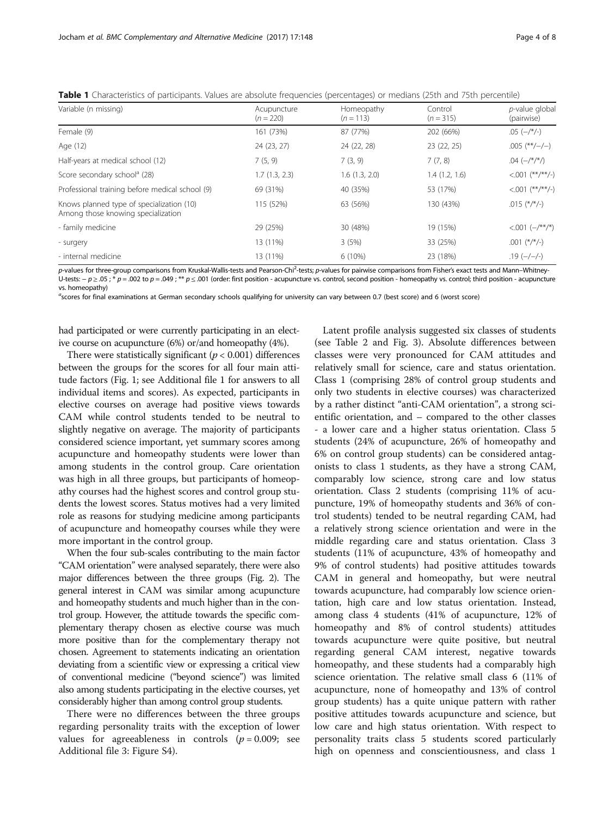| Variable (n missing)                                                            | Acupuncture<br>$(n = 220)$ | Homeopathy<br>$(n = 113)$ | Control<br>$(n = 315)$ | p-value global<br>(pairwise)                    |
|---------------------------------------------------------------------------------|----------------------------|---------------------------|------------------------|-------------------------------------------------|
| Female (9)                                                                      | 161 (73%)                  | 87 (77%)                  | 202 (66%)              | $.05$ ( $-/*/-$ )                               |
| Age (12)                                                                        | 24 (23, 27)                | 24 (22, 28)               | 23 (22, 25)            | $.005$ (**/-/-)                                 |
| Half-years at medical school (12)                                               | 7(5, 9)                    | 7(3, 9)                   | 7(7, 8)                | .04 $\left(-\frac{\varkappa}{\varkappa}\right)$ |
| Score secondary school <sup>a</sup> (28)                                        | 1.7(1.3, 2.3)              | 1.6(1.3, 2.0)             | 1.4(1.2, 1.6)          | $< 0.01$ (**/**/-)                              |
| Professional training before medical school (9)                                 | 69 (31%)                   | 40 (35%)                  | 53 (17%)               | $< .001$ (**/**/-)                              |
| Knows planned type of specialization (10)<br>Among those knowing specialization | 115 (52%)                  | 63 (56%)                  | 130 (43%)              | .015 $(*/*/-)$                                  |
| - family medicine                                                               | 29 (25%)                   | 30 (48%)                  | 19 (15%)               | $< 0.01$ $(-/***/*)$                            |
| - surgery                                                                       | 13 (11%)                   | 3(5%)                     | 33 (25%)               | $.001$ (*/*/-)                                  |
| - internal medicine                                                             | 13 (11%)                   | 6 (10%)                   | 23 (18%)               | $.19$ (-/-/-)                                   |

<span id="page-3-0"></span>Table 1 Characteristics of participants. Values are absolute frequencies (percentages) or medians (25th and 75th percentile)

p-values for three-group comparisons from Kruskal-Wallis-tests and Pearson-Chi<sup>2</sup>-tests; p-values for pairwise comparisons from Fisher's exact tests and Mann–Whitney-U-tests:  $-p \ge 05$ ; \* p = .002 to p = .049; \*\* p ≤ .001 (order: first position - acupuncture vs. control, second position - homeopathy vs. control; third position - acupuncture vs. homeopathy)

a scores for final examinations at German secondary schools qualifying for university can vary between 0.7 (best score) and 6 (worst score)

had participated or were currently participating in an elective course on acupuncture (6%) or/and homeopathy (4%).

There were statistically significant ( $p < 0.001$ ) differences between the groups for the scores for all four main attitude factors (Fig. [1](#page-4-0); see Additional file [1](#page-7-0) for answers to all individual items and scores). As expected, participants in elective courses on average had positive views towards CAM while control students tended to be neutral to slightly negative on average. The majority of participants considered science important, yet summary scores among acupuncture and homeopathy students were lower than among students in the control group. Care orientation was high in all three groups, but participants of homeopathy courses had the highest scores and control group students the lowest scores. Status motives had a very limited role as reasons for studying medicine among participants of acupuncture and homeopathy courses while they were more important in the control group.

When the four sub-scales contributing to the main factor "CAM orientation" were analysed separately, there were also major differences between the three groups (Fig. [2](#page-5-0)). The general interest in CAM was similar among acupuncture and homeopathy students and much higher than in the control group. However, the attitude towards the specific complementary therapy chosen as elective course was much more positive than for the complementary therapy not chosen. Agreement to statements indicating an orientation deviating from a scientific view or expressing a critical view of conventional medicine ("beyond science") was limited also among students participating in the elective courses, yet considerably higher than among control group students.

There were no differences between the three groups regarding personality traits with the exception of lower values for agreeableness in controls  $(p = 0.009;$  see Additional file [3:](#page-7-0) Figure S4).

Latent profile analysis suggested six classes of students (see Table [2](#page-5-0) and Fig. [3\)](#page-6-0). Absolute differences between classes were very pronounced for CAM attitudes and relatively small for science, care and status orientation. Class 1 (comprising 28% of control group students and only two students in elective courses) was characterized by a rather distinct "anti-CAM orientation", a strong scientific orientation, and – compared to the other classes - a lower care and a higher status orientation. Class 5 students (24% of acupuncture, 26% of homeopathy and 6% on control group students) can be considered antagonists to class 1 students, as they have a strong CAM, comparably low science, strong care and low status orientation. Class 2 students (comprising 11% of acupuncture, 19% of homeopathy students and 36% of control students) tended to be neutral regarding CAM, had a relatively strong science orientation and were in the middle regarding care and status orientation. Class 3 students (11% of acupuncture, 43% of homeopathy and 9% of control students) had positive attitudes towards CAM in general and homeopathy, but were neutral towards acupuncture, had comparably low science orientation, high care and low status orientation. Instead, among class 4 students (41% of acupuncture, 12% of homeopathy and 8% of control students) attitudes towards acupuncture were quite positive, but neutral regarding general CAM interest, negative towards homeopathy, and these students had a comparably high science orientation. The relative small class 6 (11% of acupuncture, none of homeopathy and 13% of control group students) has a quite unique pattern with rather positive attitudes towards acupuncture and science, but low care and high status orientation. With respect to personality traits class 5 students scored particularly high on openness and conscientiousness, and class 1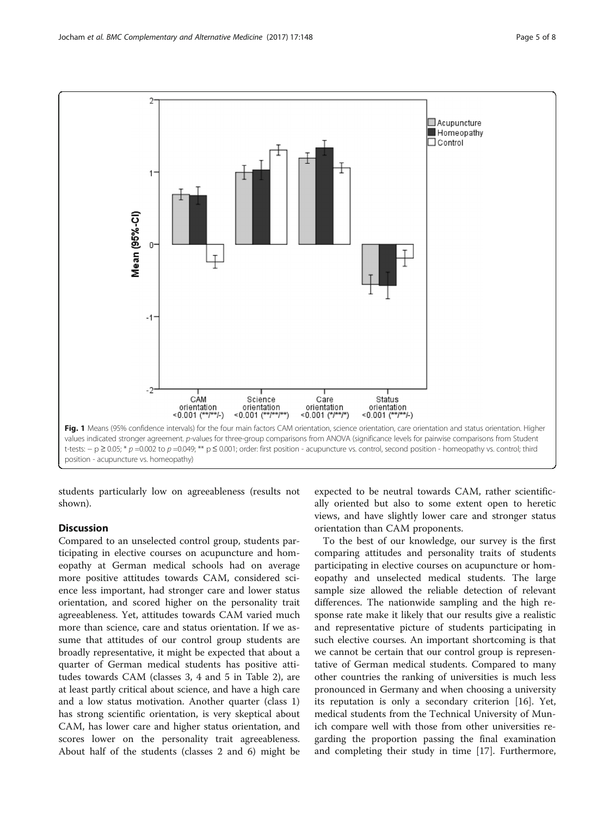<span id="page-4-0"></span>

students particularly low on agreeableness (results not shown).

# **Discussion**

Compared to an unselected control group, students participating in elective courses on acupuncture and homeopathy at German medical schools had on average more positive attitudes towards CAM, considered science less important, had stronger care and lower status orientation, and scored higher on the personality trait agreeableness. Yet, attitudes towards CAM varied much more than science, care and status orientation. If we assume that attitudes of our control group students are broadly representative, it might be expected that about a quarter of German medical students has positive attitudes towards CAM (classes 3, 4 and 5 in Table [2\)](#page-5-0), are at least partly critical about science, and have a high care and a low status motivation. Another quarter (class 1) has strong scientific orientation, is very skeptical about CAM, has lower care and higher status orientation, and scores lower on the personality trait agreeableness. About half of the students (classes 2 and 6) might be

expected to be neutral towards CAM, rather scientifically oriented but also to some extent open to heretic views, and have slightly lower care and stronger status orientation than CAM proponents.

To the best of our knowledge, our survey is the first comparing attitudes and personality traits of students participating in elective courses on acupuncture or homeopathy and unselected medical students. The large sample size allowed the reliable detection of relevant differences. The nationwide sampling and the high response rate make it likely that our results give a realistic and representative picture of students participating in such elective courses. An important shortcoming is that we cannot be certain that our control group is representative of German medical students. Compared to many other countries the ranking of universities is much less pronounced in Germany and when choosing a university its reputation is only a secondary criterion [\[16\]](#page-7-0). Yet, medical students from the Technical University of Munich compare well with those from other universities regarding the proportion passing the final examination and completing their study in time [\[17](#page-7-0)]. Furthermore,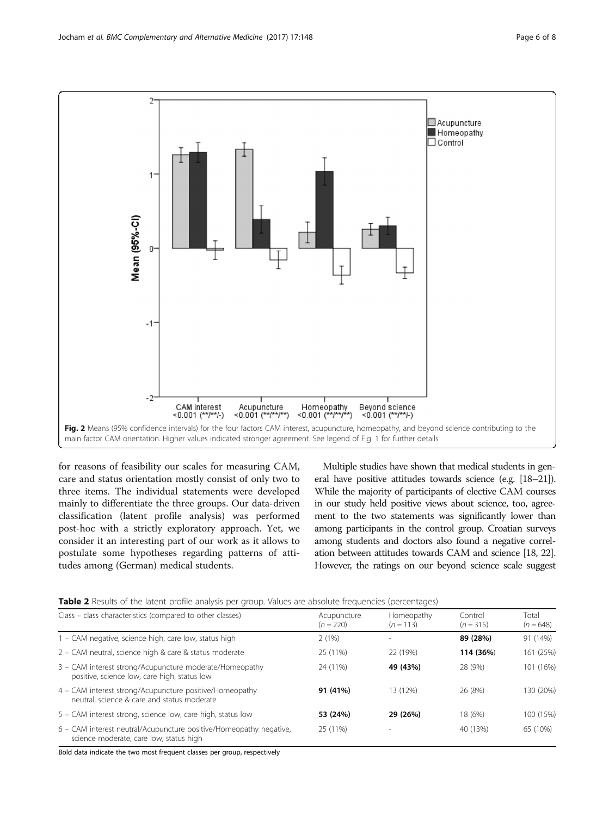<span id="page-5-0"></span>

for reasons of feasibility our scales for measuring CAM, care and status orientation mostly consist of only two to three items. The individual statements were developed mainly to differentiate the three groups. Our data-driven classification (latent profile analysis) was performed post-hoc with a strictly exploratory approach. Yet, we consider it an interesting part of our work as it allows to postulate some hypotheses regarding patterns of attitudes among (German) medical students.

Multiple studies have shown that medical students in general have positive attitudes towards science (e.g. [\[18](#page-7-0)–[21\]](#page-7-0)). While the majority of participants of elective CAM courses in our study held positive views about science, too, agreement to the two statements was significantly lower than among participants in the control group. Croatian surveys among students and doctors also found a negative correlation between attitudes towards CAM and science [[18, 22](#page-7-0)]. However, the ratings on our beyond science scale suggest

| Table 2 Results of the latent profile analysis per group. Values are absolute frequencies (percentages) |  |  |
|---------------------------------------------------------------------------------------------------------|--|--|
|---------------------------------------------------------------------------------------------------------|--|--|

| Class – class characteristics (compared to other classes)                                                     | Acupuncture<br>$(n = 220)$ | Homeopathy<br>$(n = 113)$ | Control<br>$(n = 315)$ | Total<br>$(n = 648)$ |
|---------------------------------------------------------------------------------------------------------------|----------------------------|---------------------------|------------------------|----------------------|
| 1 - CAM negative, science high, care low, status high                                                         | 2(1%)                      |                           | 89 (28%)               | 91 (14%)             |
| 2 – CAM neutral, science high & care & status moderate                                                        | 25 (11%)                   | 22 (19%)                  | 114 (36%)              | 161 (25%)            |
| 3 - CAM interest strong/Acupuncture moderate/Homeopathy<br>positive, science low, care high, status low       | 24 (11%)                   | 49 (43%)                  | 28 (9%)                | 101 (16%)            |
| 4 - CAM interest strong/Acupuncture positive/Homeopathy<br>neutral, science & care and status moderate        | 91 (41%)                   | 13 (12%)                  | 26 (8%)                | 130 (20%)            |
| 5 – CAM interest strong, science low, care high, status low                                                   | 53 (24%)                   | 29 (26%)                  | 18 (6%)                | 100 (15%)            |
| 6 - CAM interest neutral/Acupuncture positive/Homeopathy negative,<br>science moderate, care low, status high | 25 (11%)                   |                           | 40 (13%)               | 65 (10%)             |

Bold data indicate the two most frequent classes per group, respectively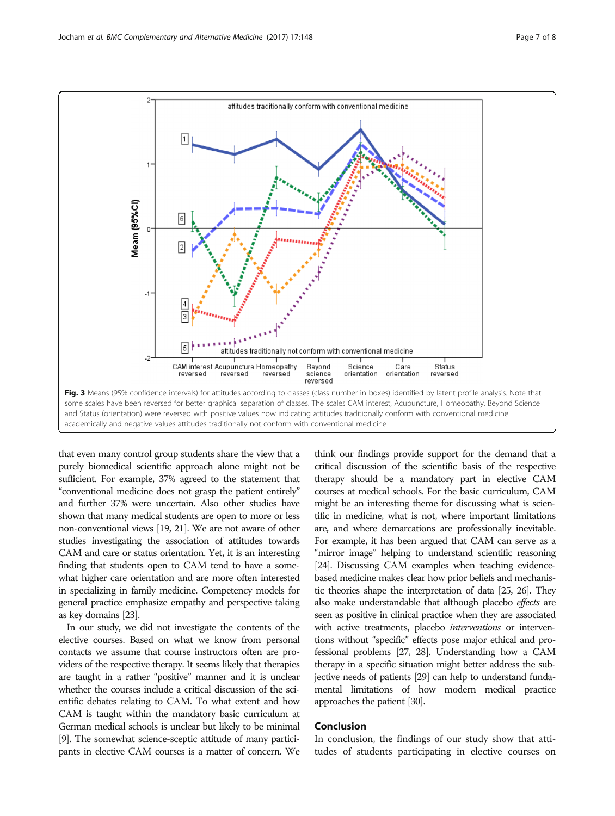<span id="page-6-0"></span>

that even many control group students share the view that a purely biomedical scientific approach alone might not be sufficient. For example, 37% agreed to the statement that "conventional medicine does not grasp the patient entirely" and further 37% were uncertain. Also other studies have shown that many medical students are open to more or less non-conventional views [[19, 21](#page-7-0)]. We are not aware of other studies investigating the association of attitudes towards CAM and care or status orientation. Yet, it is an interesting finding that students open to CAM tend to have a somewhat higher care orientation and are more often interested in specializing in family medicine. Competency models for general practice emphasize empathy and perspective taking as key domains [\[23\]](#page-7-0).

In our study, we did not investigate the contents of the elective courses. Based on what we know from personal contacts we assume that course instructors often are providers of the respective therapy. It seems likely that therapies are taught in a rather "positive" manner and it is unclear whether the courses include a critical discussion of the scientific debates relating to CAM. To what extent and how CAM is taught within the mandatory basic curriculum at German medical schools is unclear but likely to be minimal [[9](#page-7-0)]. The somewhat science-sceptic attitude of many participants in elective CAM courses is a matter of concern. We think our findings provide support for the demand that a critical discussion of the scientific basis of the respective therapy should be a mandatory part in elective CAM courses at medical schools. For the basic curriculum, CAM might be an interesting theme for discussing what is scientific in medicine, what is not, where important limitations are, and where demarcations are professionally inevitable. For example, it has been argued that CAM can serve as a "mirror image" helping to understand scientific reasoning [[24\]](#page-7-0). Discussing CAM examples when teaching evidencebased medicine makes clear how prior beliefs and mechanistic theories shape the interpretation of data [[25, 26\]](#page-7-0). They also make understandable that although placebo effects are seen as positive in clinical practice when they are associated with active treatments, placebo interventions or interventions without "specific" effects pose major ethical and professional problems [[27, 28](#page-7-0)]. Understanding how a CAM therapy in a specific situation might better address the subjective needs of patients [\[29](#page-7-0)] can help to understand fundamental limitations of how modern medical practice approaches the patient [[30](#page-7-0)].

# Conclusion

In conclusion, the findings of our study show that attitudes of students participating in elective courses on